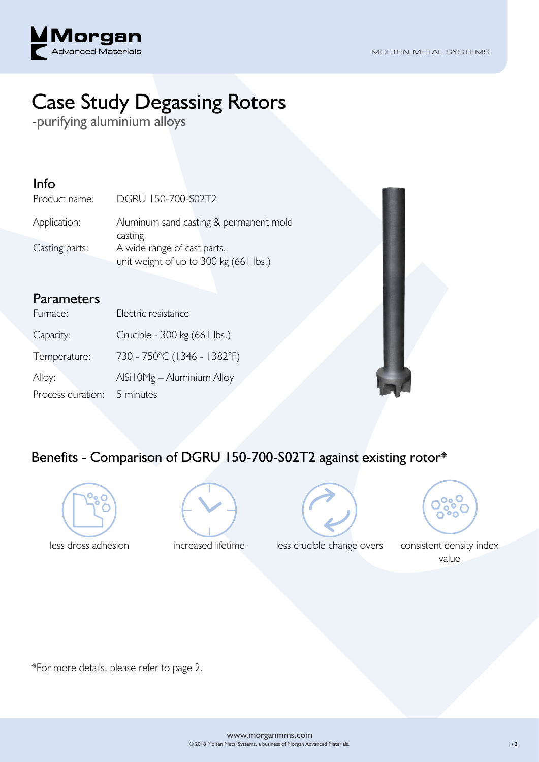

# Case Study Degassing Rotors

-purifying aluminium alloys

### Info

Product name: DGRU 150-700-S02T2

| Application:   |                                        | Aluminum sand casting & permanent mold |  |
|----------------|----------------------------------------|----------------------------------------|--|
|                | casting                                |                                        |  |
| Casting parts: | A wide range of cast parts,            |                                        |  |
|                | unit weight of up to 300 kg (661 lbs.) |                                        |  |

## Parameters

| Furnace:          | Electric resistance          |
|-------------------|------------------------------|
| Capacity:         | Crucible - 300 kg (661 lbs.) |
| Temperature:      | 730 - 750°C (1346 - 1382°F)  |
| Alloy:            | AlSi I 0Mg - Aluminium Alloy |
| Process duration: | 5 minutes                    |



## Benefits - Comparison of DGRU 150-700-S02T2 against existing rotor\*









less dross adhesion increased lifetime less crucible change overs consistent density index value

\*For more details, please refer to page 2.